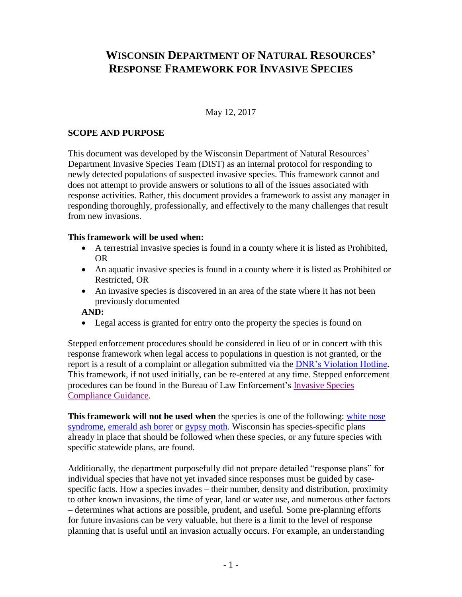## **WISCONSIN DEPARTMENT OF NATURAL RESOURCES' RESPONSE FRAMEWORK FOR INVASIVE SPECIES**

#### May 12, 2017

#### **SCOPE AND PURPOSE**

This document was developed by the Wisconsin Department of Natural Resources' Department Invasive Species Team (DIST) as an internal protocol for responding to newly detected populations of suspected invasive species. This framework cannot and does not attempt to provide answers or solutions to all of the issues associated with response activities. Rather, this document provides a framework to assist any manager in responding thoroughly, professionally, and effectively to the many challenges that result from new invasions.

#### **This framework will be used when:**

- A terrestrial invasive species is found in a county where it is listed as Prohibited, OR
- An aquatic invasive species is found in a county where it is listed as Prohibited or Restricted, OR
- An invasive species is discovered in an area of the state where it has not been previously documented

#### **AND:**

• Legal access is granted for entry onto the property the species is found on

Stepped enforcement procedures should be considered in lieu of or in concert with this response framework when legal access to populations in question is not granted, or the report is a result of a complaint or allegation submitted via the [DNR's Violation Hotline.](http://dnr.wi.gov/Contact/Hotline.html) This framework, if not used initially, can be re-entered at any time. Stepped enforcement procedures can be found in the Bureau of Law Enforcement's [Invasive Species](https://dnrx.wisconsin.gov/swims/downloadDocument.do?id=159629528)  [Compliance Guidance.](https://dnrx.wisconsin.gov/swims/downloadDocument.do?id=159629528)

**This framework will not be used when** the species is one of the following: [white nose](http://wiatri.net/inventory/bats/)  [syndrome,](http://wiatri.net/inventory/bats/) [emerald ash borer](http://datcpservices.wisconsin.gov/eab/reporteab.jsp) or [gypsy moth.](http://gypsymoth.wi.gov/) Wisconsin has species-specific plans already in place that should be followed when these species, or any future species with specific statewide plans, are found.

Additionally, the department purposefully did not prepare detailed "response plans" for individual species that have not yet invaded since responses must be guided by casespecific facts. How a species invades – their number, density and distribution, proximity to other known invasions, the time of year, land or water use, and numerous other factors – determines what actions are possible, prudent, and useful. Some pre-planning efforts for future invasions can be very valuable, but there is a limit to the level of response planning that is useful until an invasion actually occurs. For example, an understanding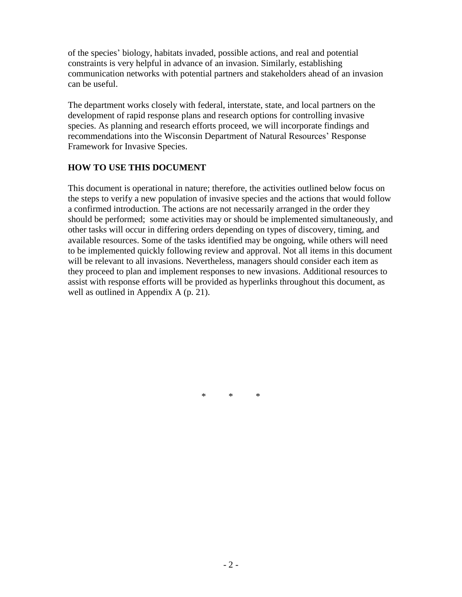of the species' biology, habitats invaded, possible actions, and real and potential constraints is very helpful in advance of an invasion. Similarly, establishing communication networks with potential partners and stakeholders ahead of an invasion can be useful.

The department works closely with federal, interstate, state, and local partners on the development of rapid response plans and research options for controlling invasive species. As planning and research efforts proceed, we will incorporate findings and recommendations into the Wisconsin Department of Natural Resources' Response Framework for Invasive Species.

#### **HOW TO USE THIS DOCUMENT**

This document is operational in nature; therefore, the activities outlined below focus on the steps to verify a new population of invasive species and the actions that would follow a confirmed introduction. The actions are not necessarily arranged in the order they should be performed; some activities may or should be implemented simultaneously, and other tasks will occur in differing orders depending on types of discovery, timing, and available resources. Some of the tasks identified may be ongoing, while others will need to be implemented quickly following review and approval. Not all items in this document will be relevant to all invasions. Nevertheless, managers should consider each item as they proceed to plan and implement responses to new invasions. Additional resources to assist with response efforts will be provided as hyperlinks throughout this document, as well as outlined in Appendix A (p. 21).

\* \* \*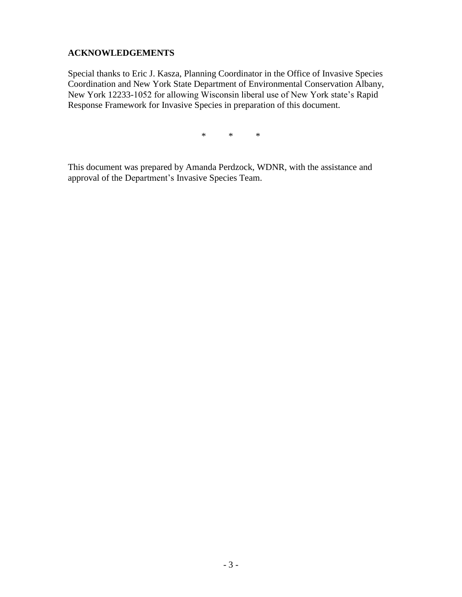## **ACKNOWLEDGEMENTS**

Special thanks to Eric J. Kasza, Planning Coordinator in the Office of Invasive Species Coordination and New York State Department of Environmental Conservation Albany, New York 12233-1052 for allowing Wisconsin liberal use of New York state's Rapid Response Framework for Invasive Species in preparation of this document.

\* \* \*

This document was prepared by Amanda Perdzock, WDNR, with the assistance and approval of the Department's Invasive Species Team.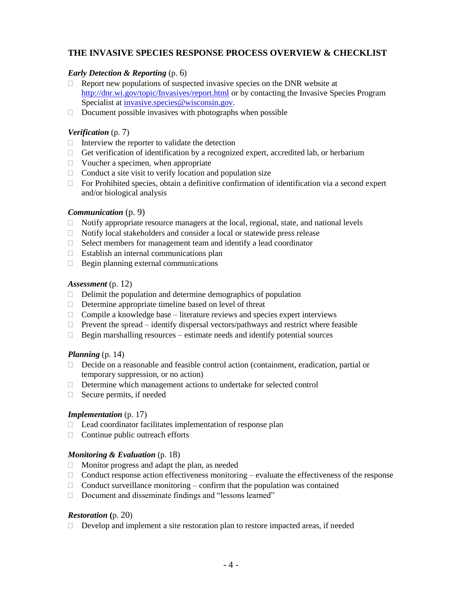#### **THE INVASIVE SPECIES RESPONSE PROCESS OVERVIEW & CHECKLIST**

#### *Early Detection & Reporting* (p. 6)

- $\Box$  Report new populations of suspected invasive species on the DNR website at <http://dnr.wi.gov/topic/Invasives/report.html> or by contacting the Invasive Species Program Specialist at *invasive.species@wisconsin.gov.*
- $\Box$  Document possible invasives with photographs when possible

#### *Verification* (p. 7)

- $\Box$  Interview the reporter to validate the detection
- $\Box$  Get verification of identification by a recognized expert, accredited lab, or herbarium
- $\Box$  Voucher a specimen, when appropriate
- $\Box$  Conduct a site visit to verify location and population size
- For Prohibited species, obtain a definitive confirmation of identification via a second expert and/or biological analysis

#### *Communication* (p. 9)

- $\Box$  Notify appropriate resource managers at the local, regional, state, and national levels
- $\Box$  Notify local stakeholders and consider a local or statewide press release
- $\Box$  Select members for management team and identify a lead coordinator
- $\Box$  Establish an internal communications plan
- $\Box$  Begin planning external communications

#### *Assessment* (p. 12)

- $\Box$  Delimit the population and determine demographics of population
- $\Box$  Determine appropriate timeline based on level of threat
- $\Box$  Compile a knowledge base literature reviews and species expert interviews
- $\Box$  Prevent the spread identify dispersal vectors/pathways and restrict where feasible
- $\Box$  Begin marshalling resources estimate needs and identify potential sources

#### *Planning* (p. 14)

- Decide on a reasonable and feasible control action (containment, eradication, partial or temporary suppression, or no action)
- Determine which management actions to undertake for selected control
- $\Box$  Secure permits, if needed

#### *Implementation* (p. 17)

- $\Box$  Lead coordinator facilitates implementation of response plan
- $\Box$  Continue public outreach efforts

#### *Monitoring & Evaluation* (p. 18)

- $\Box$  Monitor progress and adapt the plan, as needed
- $\Box$  Conduct response action effectiveness monitoring evaluate the effectiveness of the response
- $\Box$  Conduct surveillance monitoring confirm that the population was contained
- □ Document and disseminate findings and "lessons learned"

#### *Restoration* **(**p. 20)

 $\Box$  Develop and implement a site restoration plan to restore impacted areas, if needed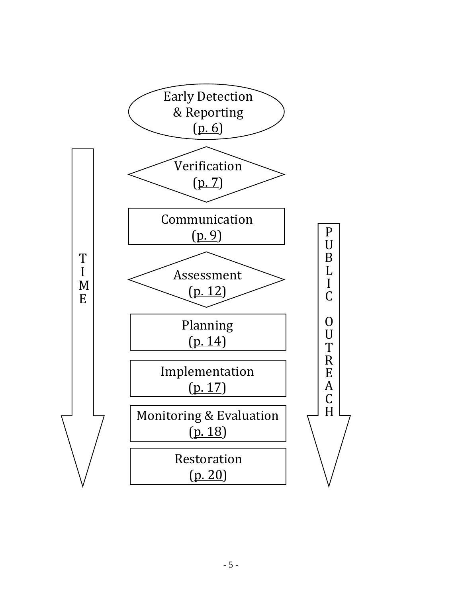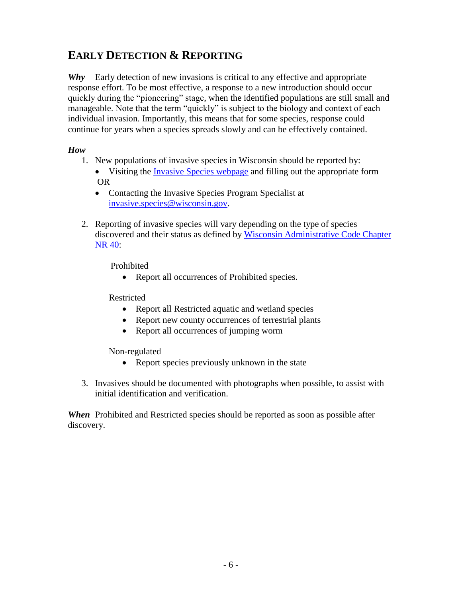## **EARLY DETECTION & REPORTING**

*Why* Early detection of new invasions is critical to any effective and appropriate response effort. To be most effective, a response to a new introduction should occur quickly during the "pioneering" stage, when the identified populations are still small and manageable. Note that the term "quickly" is subject to the biology and context of each individual invasion. Importantly, this means that for some species, response could continue for years when a species spreads slowly and can be effectively contained.

## *How*

- 1. New populations of invasive species in Wisconsin should be reported by:
	- Visiting the [Invasive Species webpage](http://dnr.wi.gov/topic/Invasives/report.html) and filling out the appropriate form OR
		- Contacting the Invasive Species Program Specialist at [invasive.species@wisconsin.gov.](mailto:invasive.species@wisconsin.gov)
- 2. Reporting of invasive species will vary depending on the type of species discovered and their status as defined by Wisconsin Administrative Code Chapter [NR 40:](http://docs.legis.wisconsin.gov/code/admin_code/nr/001/40.pdf)

Prohibited

• Report all occurrences of Prohibited species.

Restricted

- Report all Restricted aquatic and wetland species
- Report new county occurrences of terrestrial plants
- Report all occurrences of jumping worm

Non-regulated

- Report species previously unknown in the state
- 3. Invasives should be documented with photographs when possible, to assist with initial identification and verification.

*When* Prohibited and Restricted species should be reported as soon as possible after discovery.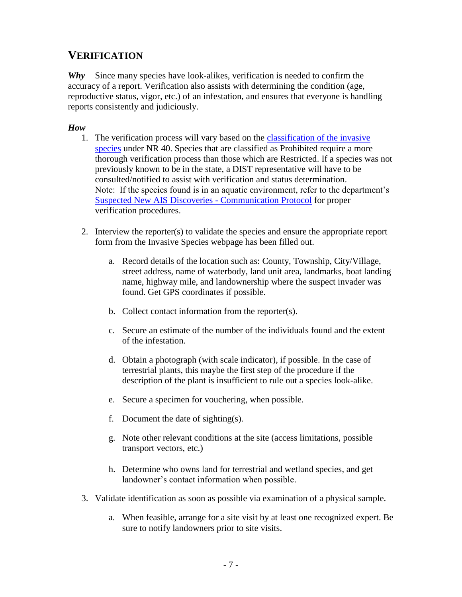## **VERIFICATION**

*Why* Since many species have look-alikes, verification is needed to confirm the accuracy of a report. Verification also assists with determining the condition (age, reproductive status, vigor, etc.) of an infestation, and ensures that everyone is handling reports consistently and judiciously.

#### *How*

- 1. The verification process will vary based on the [classification of the invasive](http://dnr.wi.gov/topic/Invasives/classification.html)  [species](http://dnr.wi.gov/topic/Invasives/classification.html) under NR 40. Species that are classified as Prohibited require a more thorough verification process than those which are Restricted. If a species was not previously known to be in the state, a DIST representative will have to be consulted/notified to assist with verification and status determination. Note: If the species found is in an aquatic environment, refer to the department's [Suspected New AIS Discoveries](https://dnrx.wisconsin.gov/swims/downloadDocument.do?id=118813642) - Communication Protocol for proper verification procedures.
- 2. Interview the reporter(s) to validate the species and ensure the appropriate report form from the Invasive Species webpage has been filled out.
	- a. Record details of the location such as: County, Township, City/Village, street address, name of waterbody, land unit area, landmarks, boat landing name, highway mile, and landownership where the suspect invader was found. Get GPS coordinates if possible.
	- b. Collect contact information from the reporter(s).
	- c. Secure an estimate of the number of the individuals found and the extent of the infestation.
	- d. Obtain a photograph (with scale indicator), if possible. In the case of terrestrial plants, this maybe the first step of the procedure if the description of the plant is insufficient to rule out a species look-alike.
	- e. Secure a specimen for vouchering, when possible.
	- f. Document the date of sighting(s).
	- g. Note other relevant conditions at the site (access limitations, possible transport vectors, etc.)
	- h. Determine who owns land for terrestrial and wetland species, and get landowner's contact information when possible.
- 3. Validate identification as soon as possible via examination of a physical sample.
	- a. When feasible, arrange for a site visit by at least one recognized expert. Be sure to notify landowners prior to site visits.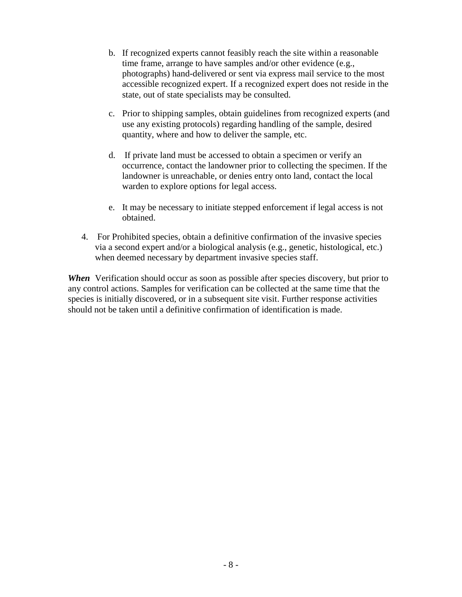- b. If recognized experts cannot feasibly reach the site within a reasonable time frame, arrange to have samples and/or other evidence (e.g., photographs) hand-delivered or sent via express mail service to the most accessible recognized expert. If a recognized expert does not reside in the state, out of state specialists may be consulted.
- c. Prior to shipping samples, obtain guidelines from recognized experts (and use any existing protocols) regarding handling of the sample, desired quantity, where and how to deliver the sample, etc.
- d. If private land must be accessed to obtain a specimen or verify an occurrence, contact the landowner prior to collecting the specimen. If the landowner is unreachable, or denies entry onto land, contact the local warden to explore options for legal access.
- e. It may be necessary to initiate stepped enforcement if legal access is not obtained.
- 4. For Prohibited species, obtain a definitive confirmation of the invasive species via a second expert and/or a biological analysis (e.g., genetic, histological, etc.) when deemed necessary by department invasive species staff.

*When* Verification should occur as soon as possible after species discovery, but prior to any control actions. Samples for verification can be collected at the same time that the species is initially discovered, or in a subsequent site visit. Further response activities should not be taken until a definitive confirmation of identification is made.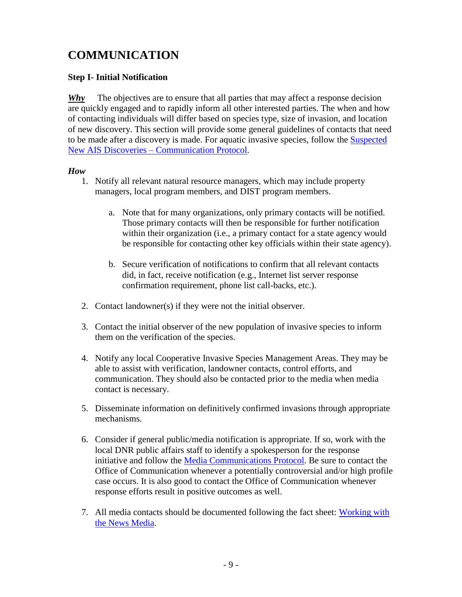# **COMMUNICATION**

#### **Step I- Initial Notification**

*Why* The objectives are to ensure that all parties that may affect a response decision are quickly engaged and to rapidly inform all other interested parties. The when and how of contacting individuals will differ based on species type, size of invasion, and location of new discovery. This section will provide some general guidelines of contacts that need to be made after a discovery is made. For aquatic invasive species, follow the [Suspected](https://dnrx.wisconsin.gov/swims/downloadDocument.do?id=118813642)  New AIS Discoveries – [Communication Protocol.](https://dnrx.wisconsin.gov/swims/downloadDocument.do?id=118813642)

#### *How*

- 1. Notify all relevant natural resource managers, which may include property managers, local program members, and DIST program members.
	- a. Note that for many organizations, only primary contacts will be notified. Those primary contacts will then be responsible for further notification within their organization (i.e., a primary contact for a state agency would be responsible for contacting other key officials within their state agency).
	- b. Secure verification of notifications to confirm that all relevant contacts did, in fact, receive notification (e.g., Internet list server response confirmation requirement, phone list call-backs, etc.).
- 2. Contact landowner(s) if they were not the initial observer.
- 3. Contact the initial observer of the new population of invasive species to inform them on the verification of the species.
- 4. Notify any local Cooperative Invasive Species Management Areas. They may be able to assist with verification, landowner contacts, control efforts, and communication. They should also be contacted prior to the media when media contact is necessary.
- 5. Disseminate information on definitively confirmed invasions through appropriate mechanisms.
- 6. Consider if general public/media notification is appropriate. If so, work with the local DNR public affairs staff to identify a spokesperson for the response initiative and follow the [Media Communications Protocol.](http://intranet.dnr.state.wi.us/int/caer/ce/DNR_DraftMediaProtocols_020615workingversion.pdf) Be sure to contact the Office of Communication whenever a potentially controversial and/or high profile case occurs. It is also good to contact the Office of Communication whenever response efforts result in positive outcomes as well.
- 7. All media contacts should be documented following the fact sheet: Working with [the News Media.](http://intranet.dnr.state.wi.us/int/caer/ce/MediaProtocolFactSheet_20150205.pdf)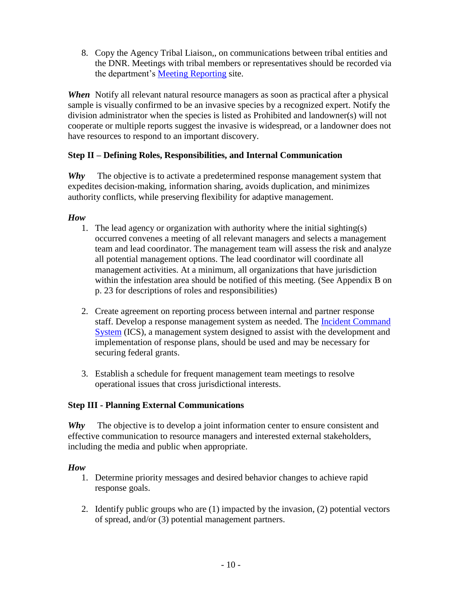8. Copy the Agency Tribal Liaison,, on communications between tribal entities and the DNR. Meetings with tribal members or representatives should be recorded via the department's [Meeting Reporting](https://sp.dnr.enterprise.wistate.us/org/dnr/Team-TAI/Lists/Meeting%20Reporting%20%20All%20Staff/AllItems.aspx) site.

*When* Notify all relevant natural resource managers as soon as practical after a physical sample is visually confirmed to be an invasive species by a recognized expert. Notify the division administrator when the species is listed as Prohibited and landowner(s) will not cooperate or multiple reports suggest the invasive is widespread, or a landowner does not have resources to respond to an important discovery.

## **Step II – Defining Roles, Responsibilities, and Internal Communication**

*Why* The objective is to activate a predetermined response management system that expedites decision-making, information sharing, avoids duplication, and minimizes authority conflicts, while preserving flexibility for adaptive management.

#### *How*

- 1. The lead agency or organization with authority where the initial sighting(s) occurred convenes a meeting of all relevant managers and selects a management team and lead coordinator. The management team will assess the risk and analyze all potential management options. The lead coordinator will coordinate all management activities. At a minimum, all organizations that have jurisdiction within the infestation area should be notified of this meeting. (See Appendix B on p. 23 for descriptions of roles and responsibilities)
- 2. Create agreement on reporting process between internal and partner response staff. Develop a response management system as needed. The [Incident Command](https://www.fema.gov/incident-command-system-resources)  [System](https://www.fema.gov/incident-command-system-resources) (ICS), a management system designed to assist with the development and implementation of response plans, should be used and may be necessary for securing federal grants.
- 3. Establish a schedule for frequent management team meetings to resolve operational issues that cross jurisdictional interests.

#### **Step III - Planning External Communications**

*Why* The objective is to develop a joint information center to ensure consistent and effective communication to resource managers and interested external stakeholders, including the media and public when appropriate.

#### *How*

- 1. Determine priority messages and desired behavior changes to achieve rapid response goals.
- 2. Identify public groups who are (1) impacted by the invasion, (2) potential vectors of spread, and/or (3) potential management partners.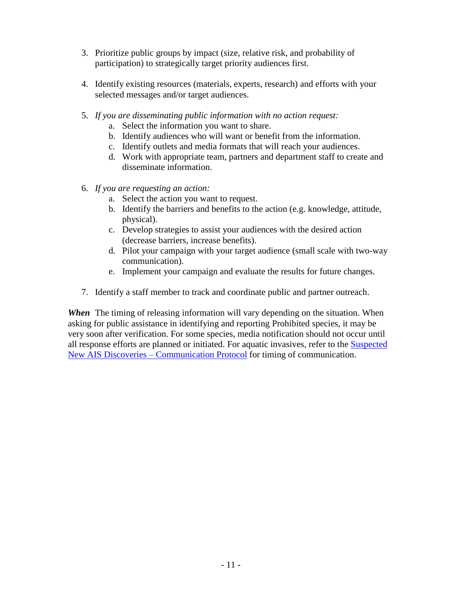- 3. Prioritize public groups by impact (size, relative risk, and probability of participation) to strategically target priority audiences first.
- 4. Identify existing resources (materials, experts, research) and efforts with your selected messages and/or target audiences.
- 5. *If you are disseminating public information with no action request:*
	- a. Select the information you want to share.
	- b. Identify audiences who will want or benefit from the information.
	- c. Identify outlets and media formats that will reach your audiences.
	- d. Work with appropriate team, partners and department staff to create and disseminate information.
- 6. *If you are requesting an action:*
	- a. Select the action you want to request.
	- b. Identify the barriers and benefits to the action (e.g. knowledge, attitude, physical).
	- c. Develop strategies to assist your audiences with the desired action (decrease barriers, increase benefits).
	- d. Pilot your campaign with your target audience (small scale with two-way communication).
	- e. Implement your campaign and evaluate the results for future changes.
- 7. Identify a staff member to track and coordinate public and partner outreach.

*When* The timing of releasing information will vary depending on the situation. When asking for public assistance in identifying and reporting Prohibited species, it may be very soon after verification. For some species, media notification should not occur until all response efforts are planned or initiated. For aquatic invasives, refer to the [Suspected](https://dnrx.wisconsin.gov/swims/downloadDocument.do?id=118813642)  New AIS Discoveries – [Communication Protocol](https://dnrx.wisconsin.gov/swims/downloadDocument.do?id=118813642) for timing of communication.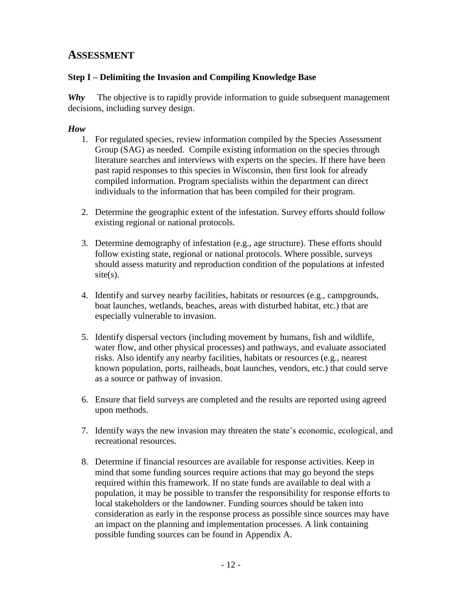## **ASSESSMENT**

## **Step I – Delimiting the Invasion and Compiling Knowledge Base**

*Why* The objective is to rapidly provide information to guide subsequent management decisions, including survey design.

### *How*

- 1. For regulated species, review information compiled by the Species Assessment Group (SAG) as needed. Compile existing information on the species through literature searches and interviews with experts on the species. If there have been past rapid responses to this species in Wisconsin, then first look for already compiled information. Program specialists within the department can direct individuals to the information that has been compiled for their program.
- 2. Determine the geographic extent of the infestation. Survey efforts should follow existing regional or national protocols.
- 3. Determine demography of infestation (e.g., age structure). These efforts should follow existing state, regional or national protocols. Where possible, surveys should assess maturity and reproduction condition of the populations at infested site(s).
- 4. Identify and survey nearby facilities, habitats or resources (e.g., campgrounds, boat launches, wetlands, beaches, areas with disturbed habitat, etc.) that are especially vulnerable to invasion.
- 5. Identify dispersal vectors (including movement by humans, fish and wildlife, water flow, and other physical processes) and pathways, and evaluate associated risks. Also identify any nearby facilities, habitats or resources (e.g., nearest known population, ports, railheads, boat launches, vendors, etc.) that could serve as a source or pathway of invasion.
- 6. Ensure that field surveys are completed and the results are reported using agreed upon methods.
- 7. Identify ways the new invasion may threaten the state's economic, ecological, and recreational resources.
- 8. Determine if financial resources are available for response activities. Keep in mind that some funding sources require actions that may go beyond the steps required within this framework. If no state funds are available to deal with a population, it may be possible to transfer the responsibility for response efforts to local stakeholders or the landowner. Funding sources should be taken into consideration as early in the response process as possible since sources may have an impact on the planning and implementation processes. A link containing possible funding sources can be found in Appendix A.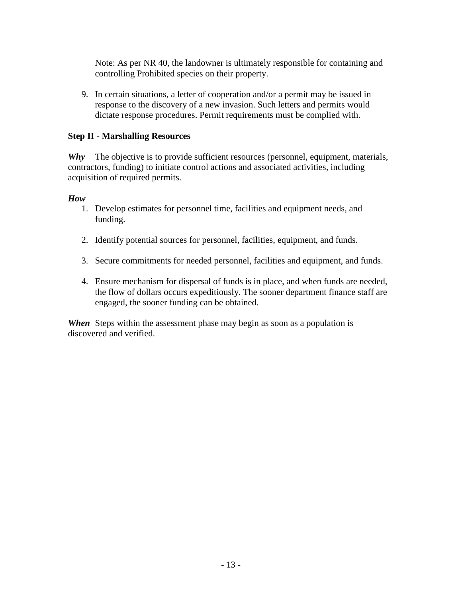Note: As per NR 40, the landowner is ultimately responsible for containing and controlling Prohibited species on their property.

9. In certain situations, a letter of cooperation and/or a permit may be issued in response to the discovery of a new invasion. Such letters and permits would dictate response procedures. Permit requirements must be complied with.

#### **Step II - Marshalling Resources**

*Why* The objective is to provide sufficient resources (personnel, equipment, materials, contractors, funding) to initiate control actions and associated activities, including acquisition of required permits.

#### *How*

- 1. Develop estimates for personnel time, facilities and equipment needs, and funding.
- 2. Identify potential sources for personnel, facilities, equipment, and funds.
- 3. Secure commitments for needed personnel, facilities and equipment, and funds.
- 4. Ensure mechanism for dispersal of funds is in place, and when funds are needed, the flow of dollars occurs expeditiously. The sooner department finance staff are engaged, the sooner funding can be obtained.

*When* Steps within the assessment phase may begin as soon as a population is discovered and verified.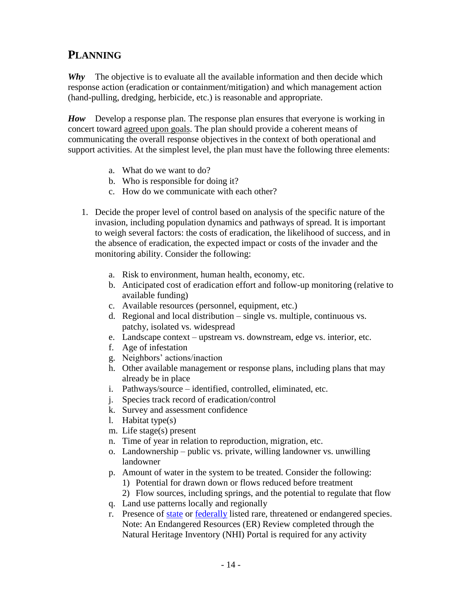## **PLANNING**

*Why* The objective is to evaluate all the available information and then decide which response action (eradication or containment/mitigation) and which management action (hand-pulling, dredging, herbicide, etc.) is reasonable and appropriate.

*How* Develop a response plan. The response plan ensures that everyone is working in concert toward agreed upon goals. The plan should provide a coherent means of communicating the overall response objectives in the context of both operational and support activities. At the simplest level, the plan must have the following three elements:

- a. What do we want to do?
- b. Who is responsible for doing it?
- c. How do we communicate with each other?
- 1. Decide the proper level of control based on analysis of the specific nature of the invasion, including population dynamics and pathways of spread. It is important to weigh several factors: the costs of eradication, the likelihood of success, and in the absence of eradication, the expected impact or costs of the invader and the monitoring ability. Consider the following:
	- a. Risk to environment, human health, economy, etc.
	- b. Anticipated cost of eradication effort and follow-up monitoring (relative to available funding)
	- c. Available resources (personnel, equipment, etc.)
	- d. Regional and local distribution single vs. multiple, continuous vs. patchy, isolated vs. widespread
	- e. Landscape context upstream vs. downstream, edge vs. interior, etc.
	- f. Age of infestation
	- g. Neighbors' actions/inaction
	- h. Other available management or response plans, including plans that may already be in place
	- i. Pathways/source identified, controlled, eliminated, etc.
	- j. Species track record of eradication/control
	- k. Survey and assessment confidence
	- l. Habitat type(s)
	- m. Life stage(s) present
	- n. Time of year in relation to reproduction, migration, etc.
	- o. Landownership public vs. private, willing landowner vs. unwilling landowner
	- p. Amount of water in the system to be treated. Consider the following:
		- 1) Potential for drawn down or flows reduced before treatment
		- 2) Flow sources, including springs, and the potential to regulate that flow
	- q. Land use patterns locally and regionally
	- r. Presence of [state](http://dnr.wi.gov/topic/endangeredresources/etlist.html) or [federally](http://www.fws.gov/midwest/endangered/lists/wisc-spp.html) listed rare, threatened or endangered species. Note: An Endangered Resources (ER) Review completed through the Natural Heritage Inventory (NHI) Portal is required for any activity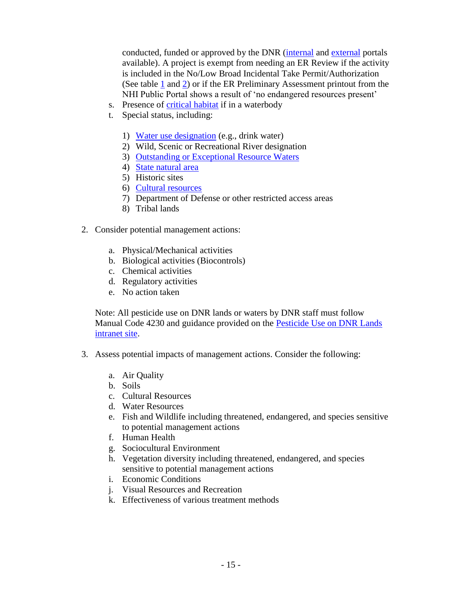conducted, funded or approved by the DNR [\(internal](http://intranet.dnr.state.wi.us/int/land/er/nhi_portal/) and [external](http://dnr.wi.gov/topic/ERReview/PublicPortal.html) portals available). A project is exempt from needing an ER Review if the activity is included in the No/Low Broad Incidental Take Permit/Authorization (See table [1](http://dnr.wi.gov/topic/ERReview/documents/NoLowImpactActivities.pdf#page=5) and [2\)](http://intranet.dnr.state.wi.us/int/land/er/nhi_portal/pdf/NoLowImpactbyTaxa.pdf) or if the ER Preliminary Assessment printout from the NHI Public Portal shows a result of 'no endangered resources present'

- s. Presence of [critical habitat](http://dnr.wi.gov/lakes/criticalhabitat/) if in a waterbody
- t. Special status, including:
	- 1) [Water use designation](http://dnr.wi.gov/topic/surfacewater/usedesignations.html) (e.g., drink water)
	- 2) Wild, Scenic or Recreational River designation
	- 3) [Outstanding or Exceptional Resource Waters](http://dnr.wi.gov/topic/SurfaceWater/orwerw.html)
	- 4) [State natural area](http://dnr.wi.gov/topic/lands/naturalareas/)
	- 5) Historic sites
	- 6) [Cultural resources](http://dnr.wi.gov/topic/Lands/CulturalRes/)
	- 7) Department of Defense or other restricted access areas
	- 8) Tribal lands
- 2. Consider potential management actions:
	- a. Physical/Mechanical activities
	- b. Biological activities (Biocontrols)
	- c. Chemical activities
	- d. Regulatory activities
	- e. No action taken

Note: All pesticide use on DNR lands or waters by DNR staff must follow Manual Code 4230 and guidance provided on the **Pesticide Use on DNR Lands** [intranet site.](http://intranet.dnr.state.wi.us/pesticides/)

- 3. Assess potential impacts of management actions. Consider the following:
	- a. Air Quality
	- b. Soils
	- c. Cultural Resources
	- d. Water Resources
	- e. Fish and Wildlife including threatened, endangered, and species sensitive to potential management actions
	- f. Human Health
	- g. Sociocultural Environment
	- h. Vegetation diversity including threatened, endangered, and species sensitive to potential management actions
	- i. Economic Conditions
	- j. Visual Resources and Recreation
	- k. Effectiveness of various treatment methods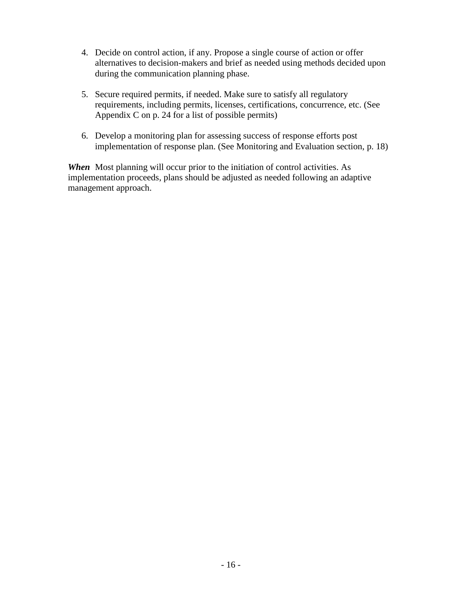- 4. Decide on control action, if any. Propose a single course of action or offer alternatives to decision-makers and brief as needed using methods decided upon during the communication planning phase.
- 5. Secure required permits, if needed. Make sure to satisfy all regulatory requirements, including permits, licenses, certifications, concurrence, etc. (See Appendix C on p. 24 for a list of possible permits)
- 6. Develop a monitoring plan for assessing success of response efforts post implementation of response plan. (See Monitoring and Evaluation section, p. 18)

*When* Most planning will occur prior to the initiation of control activities. As implementation proceeds, plans should be adjusted as needed following an adaptive management approach.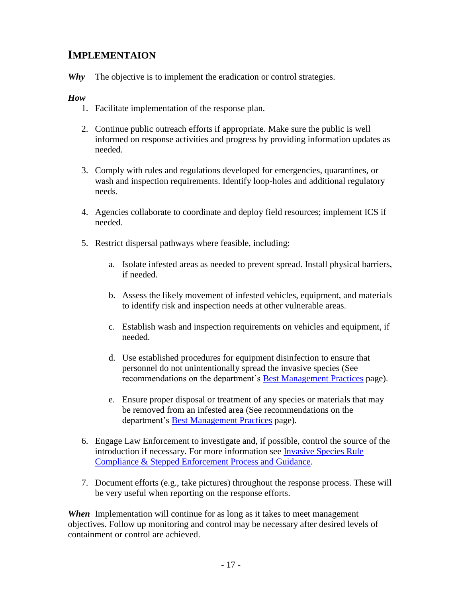## **IMPLEMENTAION**

*Why* The objective is to implement the eradication or control strategies.

#### *How*

- 1. Facilitate implementation of the response plan.
- 2. Continue public outreach efforts if appropriate. Make sure the public is well informed on response activities and progress by providing information updates as needed.
- 3. Comply with rules and regulations developed for emergencies, quarantines, or wash and inspection requirements. Identify loop-holes and additional regulatory needs.
- 4. Agencies collaborate to coordinate and deploy field resources; implement ICS if needed.
- 5. Restrict dispersal pathways where feasible, including:
	- a. Isolate infested areas as needed to prevent spread. Install physical barriers, if needed.
	- b. Assess the likely movement of infested vehicles, equipment, and materials to identify risk and inspection needs at other vulnerable areas.
	- c. Establish wash and inspection requirements on vehicles and equipment, if needed.
	- d. Use established procedures for equipment disinfection to ensure that personnel do not unintentionally spread the invasive species (See recommendations on the department's **Best Management Practices** page).
	- e. Ensure proper disposal or treatment of any species or materials that may be removed from an infested area (See recommendations on the department's [Best Management Practices](http://dnr.wi.gov/topic/invasives/bmp.html) page).
- 6. Engage Law Enforcement to investigate and, if possible, control the source of the introduction if necessary. For more information see **Invasive Species Rule** [Compliance & Stepped Enforcement Process and Guidance.](http://intranet.dnr.state.wi.us/int/es/science/invasives/pe/SEoverview.pdf)
- 7. Document efforts (e.g., take pictures) throughout the response process. These will be very useful when reporting on the response efforts.

*When* Implementation will continue for as long as it takes to meet management objectives. Follow up monitoring and control may be necessary after desired levels of containment or control are achieved.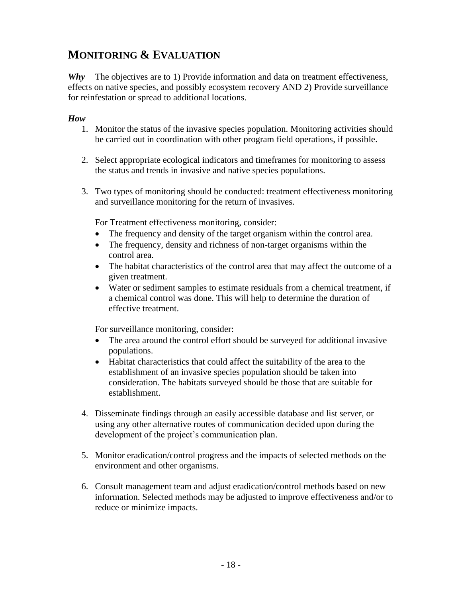## **MONITORING & EVALUATION**

*Why* The objectives are to 1) Provide information and data on treatment effectiveness, effects on native species, and possibly ecosystem recovery AND 2) Provide surveillance for reinfestation or spread to additional locations.

#### *How*

- 1. Monitor the status of the invasive species population. Monitoring activities should be carried out in coordination with other program field operations, if possible.
- 2. Select appropriate ecological indicators and timeframes for monitoring to assess the status and trends in invasive and native species populations.
- 3. Two types of monitoring should be conducted: treatment effectiveness monitoring and surveillance monitoring for the return of invasives.

For Treatment effectiveness monitoring, consider:

- The frequency and density of the target organism within the control area.
- The frequency, density and richness of non-target organisms within the control area.
- The habitat characteristics of the control area that may affect the outcome of a given treatment.
- Water or sediment samples to estimate residuals from a chemical treatment, if a chemical control was done. This will help to determine the duration of effective treatment.

For surveillance monitoring, consider:

- The area around the control effort should be surveyed for additional invasive populations.
- Habitat characteristics that could affect the suitability of the area to the establishment of an invasive species population should be taken into consideration. The habitats surveyed should be those that are suitable for establishment.
- 4. Disseminate findings through an easily accessible database and list server, or using any other alternative routes of communication decided upon during the development of the project's communication plan.
- 5. Monitor eradication/control progress and the impacts of selected methods on the environment and other organisms.
- 6. Consult management team and adjust eradication/control methods based on new information. Selected methods may be adjusted to improve effectiveness and/or to reduce or minimize impacts.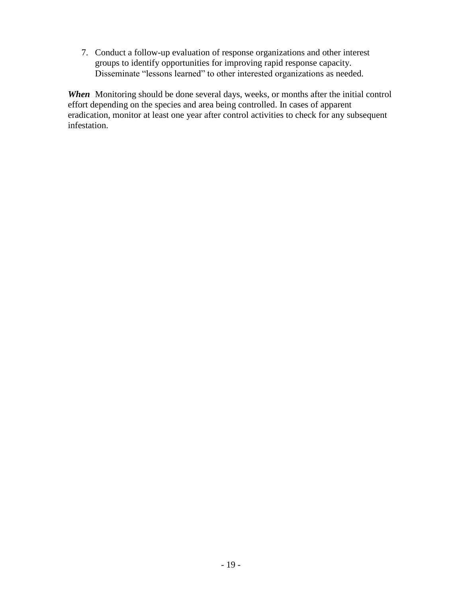7. Conduct a follow-up evaluation of response organizations and other interest groups to identify opportunities for improving rapid response capacity. Disseminate "lessons learned" to other interested organizations as needed.

*When* Monitoring should be done several days, weeks, or months after the initial control effort depending on the species and area being controlled. In cases of apparent eradication, monitor at least one year after control activities to check for any subsequent infestation.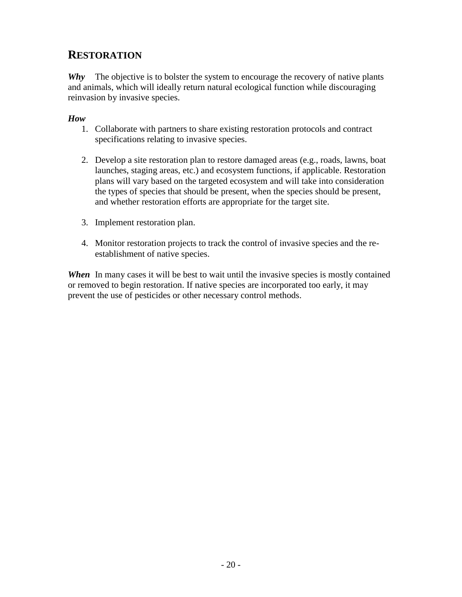## **RESTORATION**

*Why* The objective is to bolster the system to encourage the recovery of native plants and animals, which will ideally return natural ecological function while discouraging reinvasion by invasive species.

### *How*

- 1. Collaborate with partners to share existing restoration protocols and contract specifications relating to invasive species.
- 2. Develop a site restoration plan to restore damaged areas (e.g., roads, lawns, boat launches, staging areas, etc.) and ecosystem functions, if applicable. Restoration plans will vary based on the targeted ecosystem and will take into consideration the types of species that should be present, when the species should be present, and whether restoration efforts are appropriate for the target site.
- 3. Implement restoration plan.
- 4. Monitor restoration projects to track the control of invasive species and the reestablishment of native species.

**When** In many cases it will be best to wait until the invasive species is mostly contained or removed to begin restoration. If native species are incorporated too early, it may prevent the use of pesticides or other necessary control methods.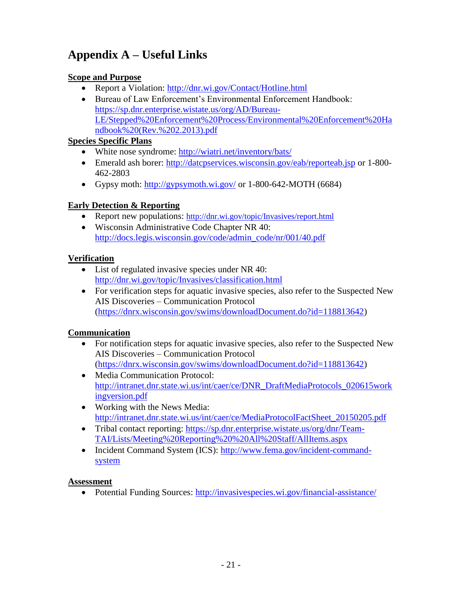# **Appendix A – Useful Links**

### **Scope and Purpose**

- Report a Violation:<http://dnr.wi.gov/Contact/Hotline.html>
- Bureau of Law Enforcement's Environmental Enforcement Handbook: [https://sp.dnr.enterprise.wistate.us/org/AD/Bureau-](https://sp.dnr.enterprise.wistate.us/org/AD/Bureau-LE/Stepped%20Enforcement%20Process/Environmental%20Enforcement%20Handbook%20(Rev.%202.2013).pdf)[LE/Stepped%20Enforcement%20Process/Environmental%20Enforcement%20Ha](https://sp.dnr.enterprise.wistate.us/org/AD/Bureau-LE/Stepped%20Enforcement%20Process/Environmental%20Enforcement%20Handbook%20(Rev.%202.2013).pdf) [ndbook%20\(Rev.%202.2013\).pdf](https://sp.dnr.enterprise.wistate.us/org/AD/Bureau-LE/Stepped%20Enforcement%20Process/Environmental%20Enforcement%20Handbook%20(Rev.%202.2013).pdf)

### **Species Specific Plans**

- White nose syndrome:<http://wiatri.net/inventory/bats/>
- Emerald ash borer:<http://datcpservices.wisconsin.gov/eab/reporteab.jsp> or 1-800- 462-2803
- Gypsy moth:<http://gypsymoth.wi.gov/> or  $1-800-642-MOTH (6684)$

## **Early Detection & Reporting**

- Report new populations: <http://dnr.wi.gov/topic/Invasives/report.html>
- Wisconsin Administrative Code Chapter NR 40: [http://docs.legis.wisconsin.gov/code/admin\\_code/nr/001/40.pdf](http://docs.legis.wisconsin.gov/code/admin_code/nr/001/40.pdf)

### **Verification**

- List of regulated invasive species under NR 40: <http://dnr.wi.gov/topic/Invasives/classification.html>
- For verification steps for aquatic invasive species, also refer to the Suspected New AIS Discoveries – Communication Protocol [\(https://dnrx.wisconsin.gov/swims/downloadDocument.do?id=118813642\)](https://dnrx.wisconsin.gov/swims/downloadDocument.do?id=118813642)

#### **Communication**

- For notification steps for aquatic invasive species, also refer to the Suspected New AIS Discoveries – Communication Protocol [\(https://dnrx.wisconsin.gov/swims/downloadDocument.do?id=118813642\)](https://dnrx.wisconsin.gov/swims/downloadDocument.do?id=118813642)
- Media Communication Protocol: [http://intranet.dnr.state.wi.us/int/caer/ce/DNR\\_DraftMediaProtocols\\_020615work](http://intranet.dnr.state.wi.us/int/caer/ce/DNR_DraftMediaProtocols_020615workingversion.pdf) [ingversion.pdf](http://intranet.dnr.state.wi.us/int/caer/ce/DNR_DraftMediaProtocols_020615workingversion.pdf)
- Working with the News Media: [http://intranet.dnr.state.wi.us/int/caer/ce/MediaProtocolFactSheet\\_20150205.pdf](http://intranet.dnr.state.wi.us/int/caer/ce/MediaProtocolFactSheet_20150205.pdf)
- Tribal contact reporting: [https://sp.dnr.enterprise.wistate.us/org/dnr/Team-](https://sp.dnr.enterprise.wistate.us/org/dnr/Team-TAI/Lists/Meeting%20Reporting%20%20All%20Staff/AllItems.aspx)[TAI/Lists/Meeting%20Reporting%20%20All%20Staff/AllItems.aspx](https://sp.dnr.enterprise.wistate.us/org/dnr/Team-TAI/Lists/Meeting%20Reporting%20%20All%20Staff/AllItems.aspx)
- Incident Command System (ICS): [http://www.fema.gov/incident-command](http://www.fema.gov/incident-command-system)[system](http://www.fema.gov/incident-command-system)

#### **Assessment**

Potential Funding Sources: <http://invasivespecies.wi.gov/financial-assistance/>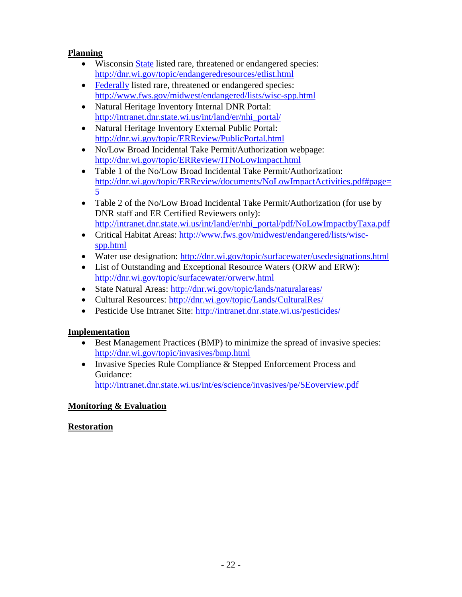## **Planning**

- Wisconsin [State](http://dnr.wi.gov/topic/endangeredresources/etlist.html) listed rare, threatened or endangered species: <http://dnr.wi.gov/topic/endangeredresources/etlist.html>
- [Federally](http://www.fws.gov/midwest/endangered/lists/wisc-spp.html) listed rare, threatened or endangered species: <http://www.fws.gov/midwest/endangered/lists/wisc-spp.html>
- Natural Heritage Inventory Internal DNR Portal: [http://intranet.dnr.state.wi.us/int/land/er/nhi\\_portal/](http://intranet.dnr.state.wi.us/int/land/er/nhi_portal/)
- Natural Heritage Inventory External Public Portal: <http://dnr.wi.gov/topic/ERReview/PublicPortal.html>
- No/Low Broad Incidental Take Permit/Authorization webpage: <http://dnr.wi.gov/topic/ERReview/ITNoLowImpact.html>
- Table 1 of the No/Low Broad Incidental Take Permit/Authorization: [http://dnr.wi.gov/topic/ERReview/documents/NoLowImpactActivities.pdf#page=](http://dnr.wi.gov/topic/ERReview/documents/NoLowImpactActivities.pdf#page=5) [5](http://dnr.wi.gov/topic/ERReview/documents/NoLowImpactActivities.pdf#page=5)
- Table 2 of the No/Low Broad Incidental Take Permit/Authorization (for use by DNR staff and ER Certified Reviewers only): [http://intranet.dnr.state.wi.us/int/land/er/nhi\\_portal/pdf/NoLowImpactbyTaxa.pdf](http://intranet.dnr.state.wi.us/int/land/er/nhi_portal/pdf/NoLowImpactbyTaxa.pdf)
- Critical Habitat Areas: [http://www.fws.gov/midwest/endangered/lists/wisc](http://www.fws.gov/midwest/endangered/lists/wisc-spp.html)[spp.html](http://www.fws.gov/midwest/endangered/lists/wisc-spp.html)
- Water use designation:<http://dnr.wi.gov/topic/surfacewater/usedesignations.html>
- List of Outstanding and Exceptional Resource Waters (ORW and ERW): <http://dnr.wi.gov/topic/surfacewater/orwerw.html>
- State Natural Areas:<http://dnr.wi.gov/topic/lands/naturalareas/>
- Cultural Resources:<http://dnr.wi.gov/topic/Lands/CulturalRes/>
- Pesticide Use Intranet Site:<http://intranet.dnr.state.wi.us/pesticides/>

## **Implementation**

- Best Management Practices (BMP) to minimize the spread of invasive species: <http://dnr.wi.gov/topic/invasives/bmp.html>
- Invasive Species Rule Compliance & Stepped Enforcement Process and Guidance:

<http://intranet.dnr.state.wi.us/int/es/science/invasives/pe/SEoverview.pdf>

## **Monitoring & Evaluation**

## **Restoration**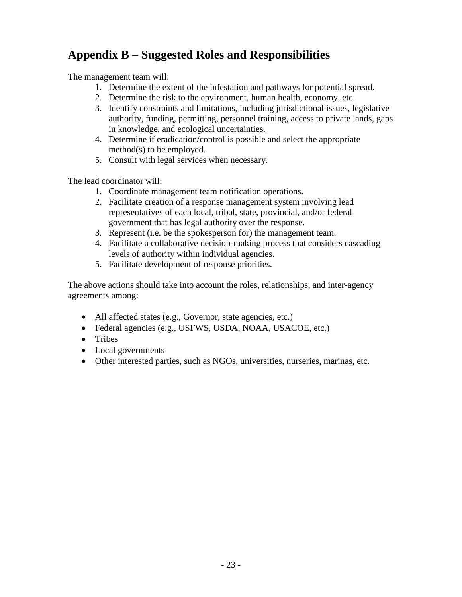# **Appendix B – Suggested Roles and Responsibilities**

The management team will:

- 1. Determine the extent of the infestation and pathways for potential spread.
- 2. Determine the risk to the environment, human health, economy, etc.
- 3. Identify constraints and limitations, including jurisdictional issues, legislative authority, funding, permitting, personnel training, access to private lands, gaps in knowledge, and ecological uncertainties.
- 4. Determine if eradication/control is possible and select the appropriate method(s) to be employed.
- 5. Consult with legal services when necessary.

The lead coordinator will:

- 1. Coordinate management team notification operations.
- 2. Facilitate creation of a response management system involving lead representatives of each local, tribal, state, provincial, and/or federal government that has legal authority over the response.
- 3. Represent (i.e. be the spokesperson for) the management team.
- 4. Facilitate a collaborative decision-making process that considers cascading levels of authority within individual agencies.
- 5. Facilitate development of response priorities.

The above actions should take into account the roles, relationships, and inter-agency agreements among:

- All affected states (e.g., Governor, state agencies, etc.)
- Federal agencies (e.g., USFWS, USDA, NOAA, USACOE, etc.)
- Tribes
- Local governments
- Other interested parties, such as NGOs, universities, nurseries, marinas, etc.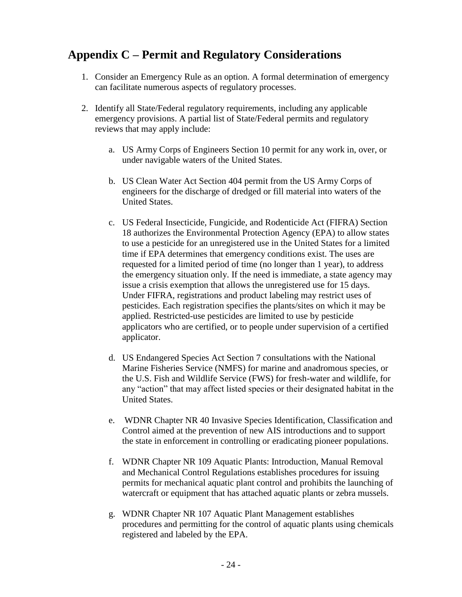# **Appendix C – Permit and Regulatory Considerations**

- 1. Consider an Emergency Rule as an option. A formal determination of emergency can facilitate numerous aspects of regulatory processes.
- 2. Identify all State/Federal regulatory requirements, including any applicable emergency provisions. A partial list of State/Federal permits and regulatory reviews that may apply include:
	- a. US Army Corps of Engineers Section 10 permit for any work in, over, or under navigable waters of the United States.
	- b. US Clean Water Act Section 404 permit from the US Army Corps of engineers for the discharge of dredged or fill material into waters of the United States.
	- c. US Federal Insecticide, Fungicide, and Rodenticide Act (FIFRA) Section 18 authorizes the Environmental Protection Agency (EPA) to allow states to use a pesticide for an unregistered use in the United States for a limited time if EPA determines that emergency conditions exist. The uses are requested for a limited period of time (no longer than 1 year), to address the emergency situation only. If the need is immediate, a state agency may issue a crisis exemption that allows the unregistered use for 15 days. Under FIFRA, registrations and product labeling may restrict uses of pesticides. Each registration specifies the plants/sites on which it may be applied. Restricted-use pesticides are limited to use by pesticide applicators who are certified, or to people under supervision of a certified applicator.
	- d. US Endangered Species Act Section 7 consultations with the National Marine Fisheries Service (NMFS) for marine and anadromous species, or the U.S. Fish and Wildlife Service (FWS) for fresh-water and wildlife, for any "action" that may affect listed species or their designated habitat in the United States.
	- e. WDNR Chapter NR 40 Invasive Species Identification, Classification and Control aimed at the prevention of new AIS introductions and to support the state in enforcement in controlling or eradicating pioneer populations.
	- f. WDNR Chapter NR 109 Aquatic Plants: Introduction, Manual Removal and Mechanical Control Regulations establishes procedures for issuing permits for mechanical aquatic plant control and prohibits the launching of watercraft or equipment that has attached aquatic plants or zebra mussels.
	- g. WDNR Chapter NR 107 Aquatic Plant Management establishes procedures and permitting for the control of aquatic plants using chemicals registered and labeled by the EPA.